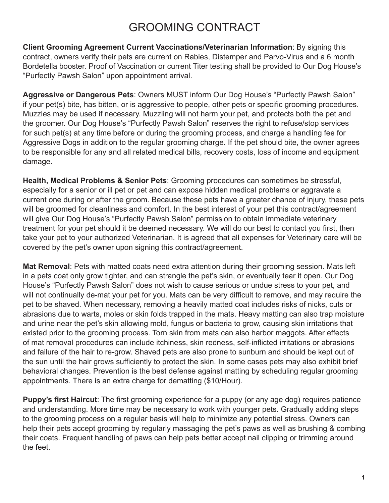## GROOMING CONTRACT

**Client Grooming Agreement Current Vaccinations/Veterinarian Information**: By signing this contract, owners verify their pets are current on Rabies, Distemper and Parvo-Virus and a 6 month Bordetella booster. Proof of Vaccination or current Titer testing shall be provided to Our Dog House's "Purfectly Pawsh Salon" upon appointment arrival.

**Aggressive or Dangerous Pets**: Owners MUST inform Our Dog House's "Purfectly Pawsh Salon" if your pet(s) bite, has bitten, or is aggressive to people, other pets or specific grooming procedures. Muzzles may be used if necessary. Muzzling will not harm your pet, and protects both the pet and the groomer. Our Dog House's "Purfectly Pawsh Salon" reserves the right to refuse/stop services for such pet(s) at any time before or during the grooming process, and charge a handling fee for Aggressive Dogs in addition to the regular grooming charge. If the pet should bite, the owner agrees to be responsible for any and all related medical bills, recovery costs, loss of income and equipment damage.

**Health, Medical Problems & Senior Pets**: Grooming procedures can sometimes be stressful, especially for a senior or ill pet or pet and can expose hidden medical problems or aggravate a current one during or after the groom. Because these pets have a greater chance of injury, these pets will be groomed for cleanliness and comfort. In the best interest of your pet this contract/agreement will give Our Dog House's "Purfectly Pawsh Salon" permission to obtain immediate veterinary treatment for your pet should it be deemed necessary. We will do our best to contact you first, then take your pet to your authorized Veterinarian. It is agreed that all expenses for Veterinary care will be covered by the pet's owner upon signing this contract/agreement.

**Mat Removal**: Pets with matted coats need extra attention during their grooming session. Mats left in a pets coat only grow tighter, and can strangle the pet's skin, or eventually tear it open. Our Dog House's "Purfectly Pawsh Salon" does not wish to cause serious or undue stress to your pet, and will not continually de-mat your pet for you. Mats can be very difficult to remove, and may require the pet to be shaved. When necessary, removing a heavily matted coat includes risks of nicks, cuts or abrasions due to warts, moles or skin folds trapped in the mats. Heavy matting can also trap moisture and urine near the pet's skin allowing mold, fungus or bacteria to grow, causing skin irritations that existed prior to the grooming process. Torn skin from mats can also harbor maggots. After effects of mat removal procedures can include itchiness, skin redness, self-inflicted irritations or abrasions and failure of the hair to re-grow. Shaved pets are also prone to sunburn and should be kept out of the sun until the hair grows sufficiently to protect the skin. In some cases pets may also exhibit brief behavioral changes. Prevention is the best defense against matting by scheduling regular grooming appointments. There is an extra charge for dematting (\$10/Hour).

**Puppy's first Haircut**: The first grooming experience for a puppy (or any age dog) requires patience and understanding. More time may be necessary to work with younger pets. Gradually adding steps to the grooming process on a regular basis will help to minimize any potential stress. Owners can help their pets accept grooming by regularly massaging the pet's paws as well as brushing & combing their coats. Frequent handling of paws can help pets better accept nail clipping or trimming around the feet.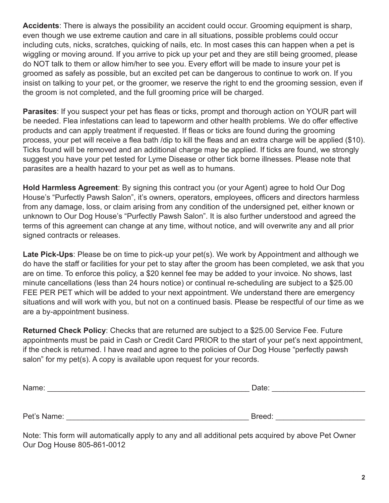**Accidents**: There is always the possibility an accident could occur. Grooming equipment is sharp, even though we use extreme caution and care in all situations, possible problems could occur including cuts, nicks, scratches, quicking of nails, etc. In most cases this can happen when a pet is wiggling or moving around. If you arrive to pick up your pet and they are still being groomed, please do NOT talk to them or allow him/her to see you. Every effort will be made to insure your pet is groomed as safely as possible, but an excited pet can be dangerous to continue to work on. If you insist on talking to your pet, or the groomer, we reserve the right to end the grooming session, even if the groom is not completed, and the full grooming price will be charged.

**Parasites**: If you suspect your pet has fleas or ticks, prompt and thorough action on YOUR part will be needed. Flea infestations can lead to tapeworm and other health problems. We do offer effective products and can apply treatment if requested. If fleas or ticks are found during the grooming process, your pet will receive a flea bath /dip to kill the fleas and an extra charge will be applied (\$10). Ticks found will be removed and an additional charge may be applied. If ticks are found, we strongly suggest you have your pet tested for Lyme Disease or other tick borne illnesses. Please note that parasites are a health hazard to your pet as well as to humans.

**Hold Harmless Agreement**: By signing this contract you (or your Agent) agree to hold Our Dog House's "Purfectly Pawsh Salon", it's owners, operators, employees, officers and directors harmless from any damage, loss, or claim arising from any condition of the undersigned pet, either known or unknown to Our Dog House's "Purfectly Pawsh Salon". It is also further understood and agreed the terms of this agreement can change at any time, without notice, and will overwrite any and all prior signed contracts or releases.

**Late Pick-Ups**: Please be on time to pick-up your pet(s). We work by Appointment and although we do have the staff or facilities for your pet to stay after the groom has been completed, we ask that you are on time. To enforce this policy, a \$20 kennel fee may be added to your invoice. No shows, last minute cancellations (less than 24 hours notice) or continual re-scheduling are subject to a \$25.00 FEE PER PET which will be added to your next appointment. We understand there are emergency situations and will work with you, but not on a continued basis. Please be respectful of our time as we are a by-appointment business.

**Returned Check Policy**: Checks that are returned are subject to a \$25.00 Service Fee. Future appointments must be paid in Cash or Credit Card PRIOR to the start of your pet's next appointment, if the check is returned. I have read and agree to the policies of Our Dog House "perfectly pawsh salon" for my pet(s). A copy is available upon request for your records.

| Name:       | Date:  |
|-------------|--------|
|             |        |
|             |        |
| Pet's Name: | Breed: |

Note: This form will automatically apply to any and all additional pets acquired by above Pet Owner Our Dog House 805-861-0012